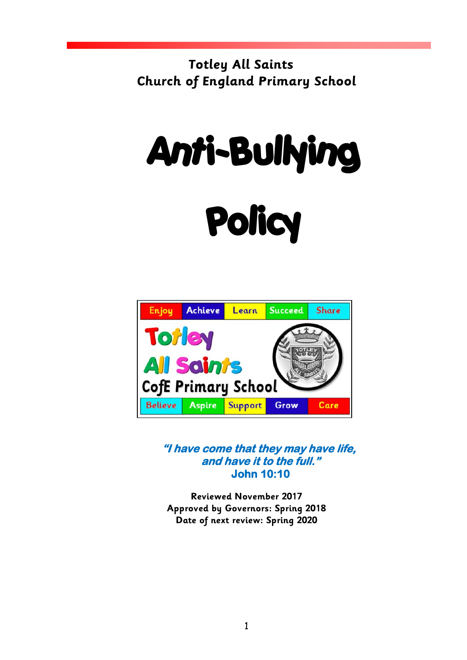**Totley All Saints Church of England Primary School**

# Anti-Bullying **Policy**



**"I have come that they may have life, and have it to the full." John 10:10** 

**Reviewed November 2017 Approved by Governors: Spring 2018 Date of next review: Spring 2020**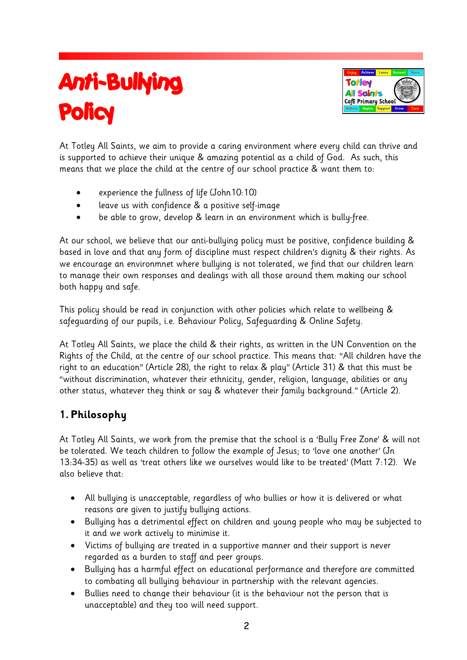# Anti-Bullying **Policy**



At Totley All Saints, we aim to provide a caring environment where every child can thrive and is supported to achieve their unique & amazing potential as a child of God. As such, this means that we place the child at the centre of our school practice & want them to:

- experience the fullness of life (John10:10)
- leave us with confidence & a positive self-image
- be able to grow, develop & learn in an environment which is bully-free.

At our school, we believe that our anti-bullying policy must be positive, confidence building & based in love and that any form of discipline must respect children's dignity & their rights. As we encourage an environmnet where bullying is not tolerated, we find that our children learn to manage their own responses and dealings with all those around them making our school both happy and safe.

This policy should be read in conjunction with other policies which relate to wellbeing & safeguarding of our pupils, i.e. Behaviour Policy, Safeguarding & Online Safety.

At Totley All Saints, we place the child & their rights, as written in the UN Convention on the Rights of the Child, at the centre of our school practice. This means that: "All children have the right to an education" (Article 28), the right to relax & play" (Article 31) & that this must be "without discrimination, whatever their ethnicity, gender, religion, language, abilities or any other status, whatever they think or say & whatever their family background." (Article 2).

#### **1. Philosophy**

At Totley All Saints, we work from the premise that the school is a 'Bully Free Zone' & will not be tolerated. We teach children to follow the example of Jesus; to 'love one another' (Jn 13:34-35) as well as 'treat others like we ourselves would like to be treated' (Matt 7:12). We also believe that:

- All bullying is unacceptable, regardless of who bullies or how it is delivered or what reasons are given to justify bullying actions.
- Bullying has a detrimental effect on children and young people who may be subjected to it and we work actively to minimise it.
- Victims of bullying are treated in a supportive manner and their support is never regarded as a burden to staff and peer groups.
- Bullying has a harmful effect on educational performance and therefore are committed to combating all bullying behaviour in partnership with the relevant agencies.
- Bullies need to change their behaviour (it is the behaviour not the person that is unacceptable) and they too will need support.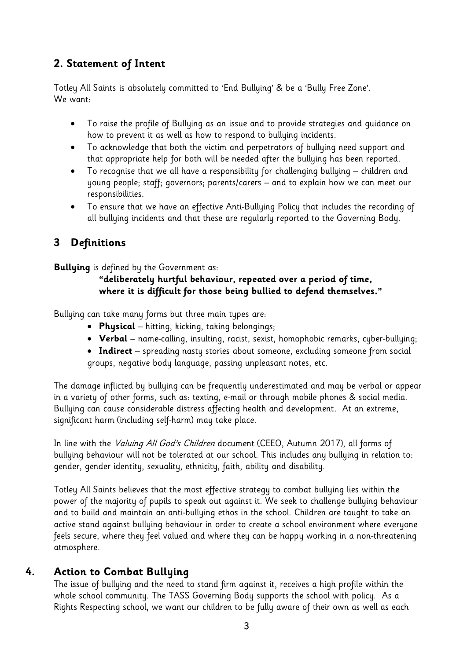### **2. Statement of Intent**

Totley All Saints is absolutely committed to 'End Bullying' & be a 'Bully Free Zone'. We want:

- To raise the profile of Bullying as an issue and to provide strategies and guidance on how to prevent it as well as how to respond to bullying incidents.
- To acknowledge that both the victim and perpetrators of bullying need support and that appropriate help for both will be needed after the bullying has been reported.
- To recognise that we all have a responsibility for challenging bullying children and young people; staff; governors; parents/carers – and to explain how we can meet our responsibilities.
- To ensure that we have an effective Anti-Bullying Policy that includes the recording of all bullying incidents and that these are regularly reported to the Governing Body.

## **3 Definitions**

**Bullying** is defined by the Government as:

#### **"deliberately hurtful behaviour, repeated over a period of time, where it is difficult for those being bullied to defend themselves."**

Bullying can take many forms but three main types are:

- **Physical** hitting, kicking, taking belongings;
- **Verbal**  name-calling, insulting, racist, sexist, homophobic remarks, cyber-bullying;
- **Indirect** spreading nasty stories about someone, excluding someone from social groups, negative body language, passing unpleasant notes, etc.

The damage inflicted by bullying can be frequently underestimated and may be verbal or appear in a variety of other forms, such as: texting, e-mail or through mobile phones & social media. Bullying can cause considerable distress affecting health and development. At an extreme, significant harm (including self-harm) may take place.

In line with the *Valuing All God's Children* document (CEEO, Autumn 2017), all forms of bullying behaviour will not be tolerated at our school. This includes any bullying in relation to: gender, gender identity, sexuality, ethnicity, faith, ability and disability.

Totley All Saints believes that the most effective strategy to combat bullying lies within the power of the majority of pupils to speak out against it. We seek to challenge bullying behaviour and to build and maintain an anti-bullying ethos in the school. Children are taught to take an active stand against bullying behaviour in order to create a school environment where everyone feels secure, where they feel valued and where they can be happy working in a non-threatening atmosphere.

#### **4. Action to Combat Bullying**

The issue of bullying and the need to stand firm against it, receives a high profile within the whole school community. The TASS Governing Body supports the school with policy. As a Rights Respecting school, we want our children to be fully aware of their own as well as each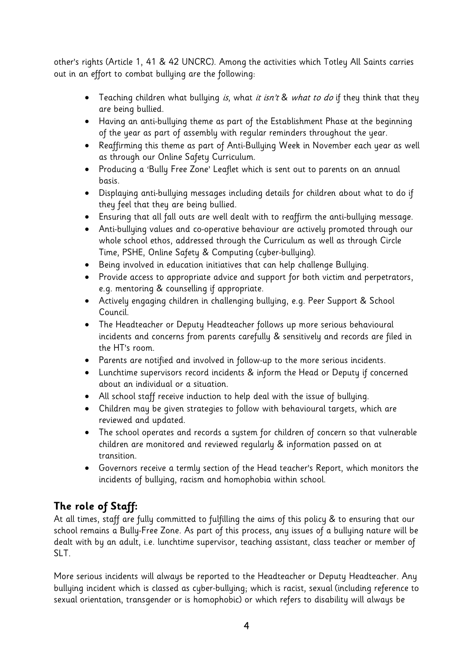other's rights (Article 1, 41 & 42 UNCRC). Among the activities which Totley All Saints carries out in an effort to combat bullying are the following:

- Teaching children what bullying *is*, what *it isn't & what to do* if they think that they are being bullied.
- Having an anti-bullying theme as part of the Establishment Phase at the beginning of the year as part of assembly with regular reminders throughout the year.
- Reaffirming this theme as part of Anti-Bullying Week in November each year as well as through our Online Safety Curriculum.
- Producing a 'Bully Free Zone' Leaflet which is sent out to parents on an annual basis.
- Displaying anti-bullying messages including details for children about what to do if they feel that they are being bullied.
- Ensuring that all fall outs are well dealt with to reaffirm the anti-bullying message.
- Anti-bullying values and co-operative behaviour are actively promoted through our whole school ethos, addressed through the Curriculum as well as through Circle Time, PSHE, Online Safety & Computing (cyber-bullying).
- Being involved in education initiatives that can help challenge Bullying.
- Provide access to appropriate advice and support for both victim and perpetrators, e.g. mentoring & counselling if appropriate.
- Actively engaging children in challenging bullying, e.g. Peer Support & School Council.
- The Headteacher or Deputy Headteacher follows up more serious behavioural incidents and concerns from parents carefully & sensitively and records are filed in the HT's room.
- Parents are notified and involved in follow-up to the more serious incidents.
- Lunchtime supervisors record incidents & inform the Head or Deputy if concerned about an individual or a situation.
- All school staff receive induction to help deal with the issue of bullying.
- Children may be given strategies to follow with behavioural targets, which are reviewed and updated.
- The school operates and records a system for children of concern so that vulnerable children are monitored and reviewed regularly & information passed on at transition.
- Governors receive a termly section of the Head teacher's Report, which monitors the incidents of bullying, racism and homophobia within school.

#### **The role of Staff:**

At all times, staff are fully committed to fulfilling the aims of this policy & to ensuring that our school remains a Bully-Free Zone. As part of this process, any issues of a bullying nature will be dealt with by an adult, i.e. lunchtime supervisor, teaching assistant, class teacher or member of SLT.

More serious incidents will always be reported to the Headteacher or Deputy Headteacher. Any bullying incident which is classed as cyber-bullying; which is racist, sexual (including reference to sexual orientation, transgender or is homophobic) or which refers to disability will always be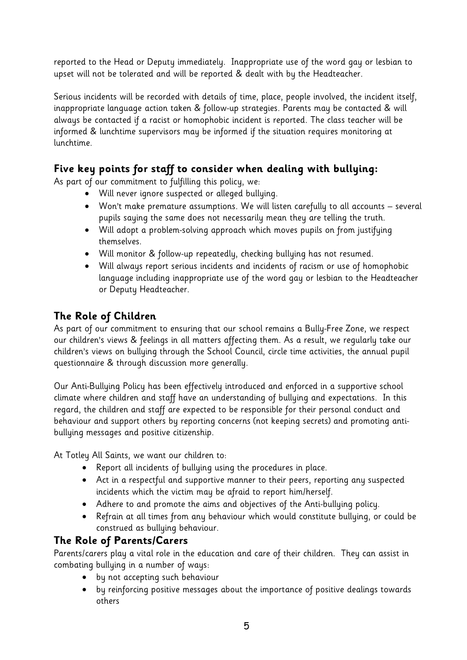reported to the Head or Deputy immediately. Inappropriate use of the word gay or lesbian to upset will not be tolerated and will be reported & dealt with by the Headteacher.

Serious incidents will be recorded with details of time, place, people involved, the incident itself, inappropriate language action taken & follow-up strategies. Parents may be contacted & will always be contacted if a racist or homophobic incident is reported. The class teacher will be informed & lunchtime supervisors may be informed if the situation requires monitoring at lunchtime.

#### **Five key points for staff to consider when dealing with bullying:**

As part of our commitment to fulfilling this policy, we:

- Will never ignore suspected or alleged bullying.
- Won't make premature assumptions. We will listen carefully to all accounts several pupils saying the same does not necessarily mean they are telling the truth.
- Will adopt a problem-solving approach which moves pupils on from justifying themselves.
- Will monitor & follow-up repeatedly, checking bullying has not resumed.
- Will always report serious incidents and incidents of racism or use of homophobic language including inappropriate use of the word gay or lesbian to the Headteacher or Deputy Headteacher.

#### **The Role of Children**

As part of our commitment to ensuring that our school remains a Bully-Free Zone, we respect our children's views & feelings in all matters affecting them. As a result, we regularly take our children's views on bullying through the School Council, circle time activities, the annual pupil questionnaire & through discussion more generally.

Our Anti-Bullying Policy has been effectively introduced and enforced in a supportive school climate where children and staff have an understanding of bullying and expectations. In this regard, the children and staff are expected to be responsible for their personal conduct and behaviour and support others by reporting concerns (not keeping secrets) and promoting antibullying messages and positive citizenship.

At Totley All Saints, we want our children to:

- Report all incidents of bullying using the procedures in place.
- Act in a respectful and supportive manner to their peers, reporting any suspected incidents which the victim may be afraid to report him/herself.
- Adhere to and promote the aims and objectives of the Anti-bullying policy.
- Refrain at all times from any behaviour which would constitute bullying, or could be construed as bullying behaviour.

#### **The Role of Parents/Carers**

Parents/carers play a vital role in the education and care of their children. They can assist in combating bullying in a number of ways:

- by not accepting such behaviour
- by reinforcing positive messages about the importance of positive dealings towards others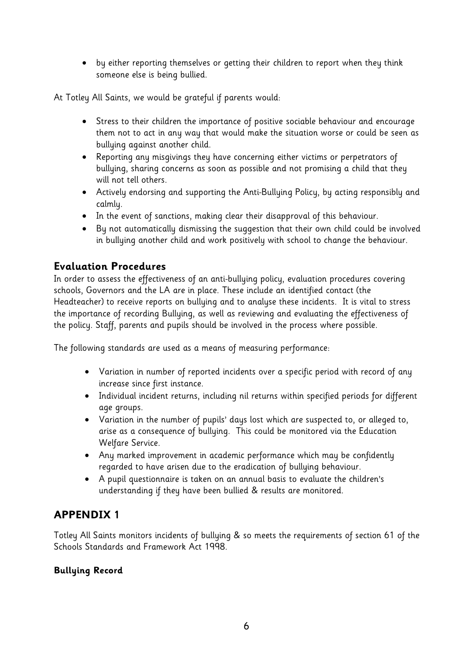by either reporting themselves or getting their children to report when they think someone else is being bullied.

At Totley All Saints, we would be grateful if parents would:

- Stress to their children the importance of positive sociable behaviour and encourage them not to act in any way that would make the situation worse or could be seen as bullying against another child.
- Reporting any misgivings they have concerning either victims or perpetrators of bullying, sharing concerns as soon as possible and not promising a child that they will not tell others.
- Actively endorsing and supporting the Anti-Bullying Policy, by acting responsibly and calmly.
- In the event of sanctions, making clear their disapproval of this behaviour.
- By not automatically dismissing the suggestion that their own child could be involved in bullying another child and work positively with school to change the behaviour.

#### **Evaluation Procedures**

In order to assess the effectiveness of an anti-bullying policy, evaluation procedures covering schools, Governors and the LA are in place. These include an identified contact (the Headteacher) to receive reports on bullying and to analyse these incidents. It is vital to stress the importance of recording Bullying, as well as reviewing and evaluating the effectiveness of the policy. Staff, parents and pupils should be involved in the process where possible.

The following standards are used as a means of measuring performance:

- Variation in number of reported incidents over a specific period with record of any increase since first instance.
- Individual incident returns, including nil returns within specified periods for different age groups.
- Variation in the number of pupils' days lost which are suspected to, or alleged to, arise as a consequence of bullying. This could be monitored via the Education Welfare Service.
- Any marked improvement in academic performance which may be confidently regarded to have arisen due to the eradication of bullying behaviour.
- A pupil questionnaire is taken on an annual basis to evaluate the children's understanding if they have been bullied & results are monitored.

#### **APPENDIX 1**

Totley All Saints monitors incidents of bullying & so meets the requirements of section 61 of the Schools Standards and Framework Act 1998.

#### **Bullying Record**